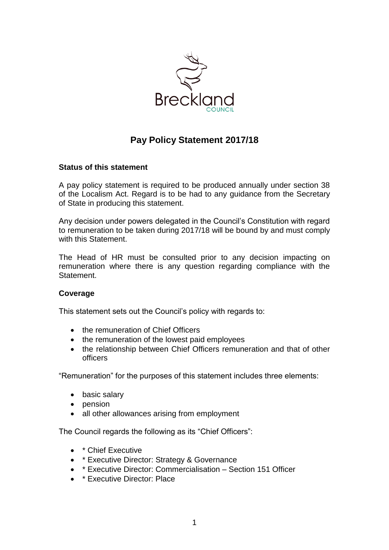

# **Pay Policy Statement 2017/18**

## **Status of this statement**

A pay policy statement is required to be produced annually under section 38 of the Localism Act. Regard is to be had to any guidance from the Secretary of State in producing this statement.

Any decision under powers delegated in the Council's Constitution with regard to remuneration to be taken during 2017/18 will be bound by and must comply with this Statement.

The Head of HR must be consulted prior to any decision impacting on remuneration where there is any question regarding compliance with the Statement.

## **Coverage**

This statement sets out the Council's policy with regards to:

- the remuneration of Chief Officers
- the remuneration of the lowest paid employees
- the relationship between Chief Officers remuneration and that of other officers

"Remuneration" for the purposes of this statement includes three elements:

- basic salary
- pension
- all other allowances arising from employment

The Council regards the following as its "Chief Officers":

- \* Chief Executive
- \* Executive Director: Strategy & Governance
- \* Executive Director: Commercialisation Section 151 Officer
- \* Executive Director: Place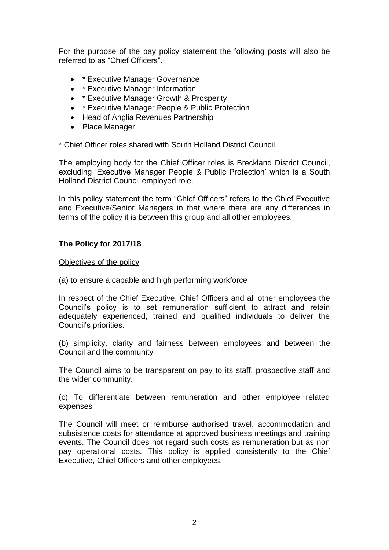For the purpose of the pay policy statement the following posts will also be referred to as "Chief Officers".

- \* Executive Manager Governance
- \* Executive Manager Information
- \* Executive Manager Growth & Prosperity
- \* Executive Manager People & Public Protection
- Head of Anglia Revenues Partnership
- Place Manager

\* Chief Officer roles shared with South Holland District Council.

The employing body for the Chief Officer roles is Breckland District Council, excluding 'Executive Manager People & Public Protection' which is a South Holland District Council employed role.

In this policy statement the term "Chief Officers" refers to the Chief Executive and Executive/Senior Managers in that where there are any differences in terms of the policy it is between this group and all other employees.

## **The Policy for 2017/18**

Objectives of the policy

(a) to ensure a capable and high performing workforce

In respect of the Chief Executive, Chief Officers and all other employees the Council's policy is to set remuneration sufficient to attract and retain adequately experienced, trained and qualified individuals to deliver the Council's priorities.

(b) simplicity, clarity and fairness between employees and between the Council and the community

The Council aims to be transparent on pay to its staff, prospective staff and the wider community.

(c) To differentiate between remuneration and other employee related expenses

The Council will meet or reimburse authorised travel, accommodation and subsistence costs for attendance at approved business meetings and training events. The Council does not regard such costs as remuneration but as non pay operational costs. This policy is applied consistently to the Chief Executive, Chief Officers and other employees.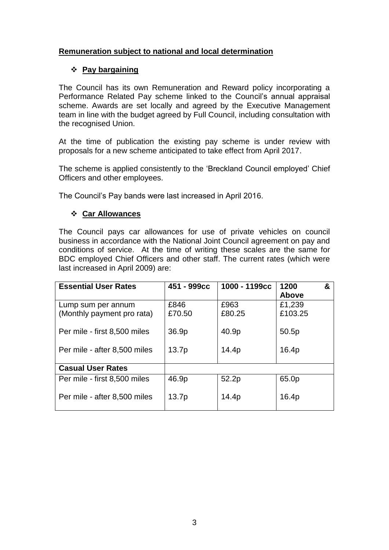## **Remuneration subject to national and local determination**

## **Pay bargaining**

The Council has its own Remuneration and Reward policy incorporating a Performance Related Pay scheme linked to the Council's annual appraisal scheme. Awards are set locally and agreed by the Executive Management team in line with the budget agreed by Full Council, including consultation with the recognised Union.

At the time of publication the existing pay scheme is under review with proposals for a new scheme anticipated to take effect from April 2017.

The scheme is applied consistently to the 'Breckland Council employed' Chief Officers and other employees.

The Council's Pay bands were last increased in April 2016.

## **Car Allowances**

The Council pays car allowances for use of private vehicles on council business in accordance with the National Joint Council agreement on pay and conditions of service. At the time of writing these scales are the same for BDC employed Chief Officers and other staff. The current rates (which were last increased in April 2009) are:

| <b>Essential User Rates</b>  | 451 - 999сс | 1000 - 1199cc | 1200<br>&<br><b>Above</b> |
|------------------------------|-------------|---------------|---------------------------|
| Lump sum per annum           | £846        | £963          | £1,239                    |
| (Monthly payment pro rata)   | £70.50      | £80.25        | £103.25                   |
| Per mile - first 8,500 miles | 36.9p       | 40.9p         | 50.5p                     |
| Per mile - after 8,500 miles | 13.7p       | 14.4p         | 16.4p                     |
| <b>Casual User Rates</b>     |             |               |                           |
| Per mile - first 8,500 miles | 46.9p       | 52.2p         | 65.0p                     |
| Per mile - after 8,500 miles | 13.7p       | 14.4p         | 16.4p                     |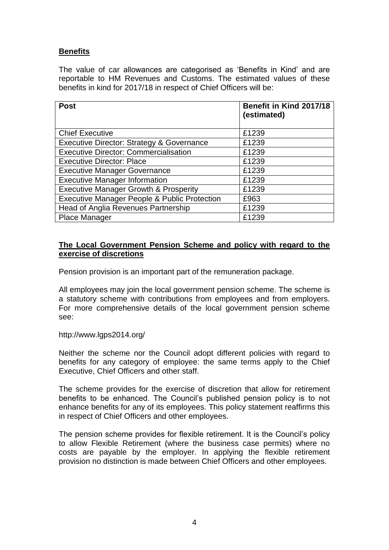## **Benefits**

The value of car allowances are categorised as 'Benefits in Kind' and are reportable to HM Revenues and Customs. The estimated values of these benefits in kind for 2017/18 in respect of Chief Officers will be:

| <b>Post</b>                                             | Benefit in Kind 2017/18<br>(estimated) |
|---------------------------------------------------------|----------------------------------------|
| <b>Chief Executive</b>                                  | £1239                                  |
| <b>Executive Director: Strategy &amp; Governance</b>    | £1239                                  |
| <b>Executive Director: Commercialisation</b>            | £1239                                  |
| <b>Executive Director: Place</b>                        | £1239                                  |
| <b>Executive Manager Governance</b>                     | £1239                                  |
| <b>Executive Manager Information</b>                    | £1239                                  |
| <b>Executive Manager Growth &amp; Prosperity</b>        | £1239                                  |
| <b>Executive Manager People &amp; Public Protection</b> | £963                                   |
| Head of Anglia Revenues Partnership                     | £1239                                  |
| <b>Place Manager</b>                                    | £1239                                  |

## **The Local Government Pension Scheme and policy with regard to the exercise of discretions**

Pension provision is an important part of the remuneration package.

All employees may join the local government pension scheme. The scheme is a statutory scheme with contributions from employees and from employers. For more comprehensive details of the local government pension scheme see:

#### http://www.lgps2014.org/

Neither the scheme nor the Council adopt different policies with regard to benefits for any category of employee: the same terms apply to the Chief Executive, Chief Officers and other staff.

The scheme provides for the exercise of discretion that allow for retirement benefits to be enhanced. The Council's published pension policy is to not enhance benefits for any of its employees. This policy statement reaffirms this in respect of Chief Officers and other employees.

The pension scheme provides for flexible retirement. It is the Council's policy to allow Flexible Retirement (where the business case permits) where no costs are payable by the employer. In applying the flexible retirement provision no distinction is made between Chief Officers and other employees.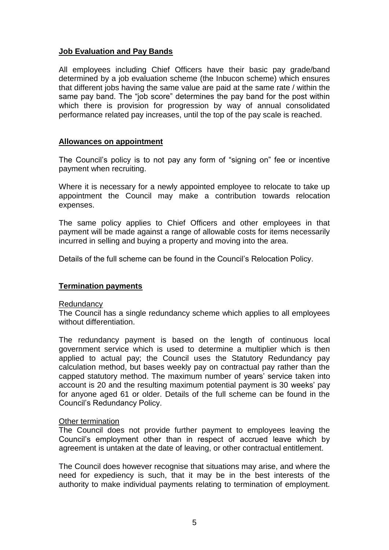## **Job Evaluation and Pay Bands**

All employees including Chief Officers have their basic pay grade/band determined by a job evaluation scheme (the Inbucon scheme) which ensures that different jobs having the same value are paid at the same rate / within the same pay band. The "job score" determines the pay band for the post within which there is provision for progression by way of annual consolidated performance related pay increases, until the top of the pay scale is reached.

## **Allowances on appointment**

The Council's policy is to not pay any form of "signing on" fee or incentive payment when recruiting.

Where it is necessary for a newly appointed employee to relocate to take up appointment the Council may make a contribution towards relocation expenses.

The same policy applies to Chief Officers and other employees in that payment will be made against a range of allowable costs for items necessarily incurred in selling and buying a property and moving into the area.

Details of the full scheme can be found in the Council's Relocation Policy.

## **Termination payments**

#### **Redundancy**

The Council has a single redundancy scheme which applies to all employees without differentiation.

The redundancy payment is based on the length of continuous local government service which is used to determine a multiplier which is then applied to actual pay; the Council uses the Statutory Redundancy pay calculation method, but bases weekly pay on contractual pay rather than the capped statutory method. The maximum number of years' service taken into account is 20 and the resulting maximum potential payment is 30 weeks' pay for anyone aged 61 or older. Details of the full scheme can be found in the Council's Redundancy Policy.

#### **Other termination**

The Council does not provide further payment to employees leaving the Council's employment other than in respect of accrued leave which by agreement is untaken at the date of leaving, or other contractual entitlement.

The Council does however recognise that situations may arise, and where the need for expediency is such, that it may be in the best interests of the authority to make individual payments relating to termination of employment.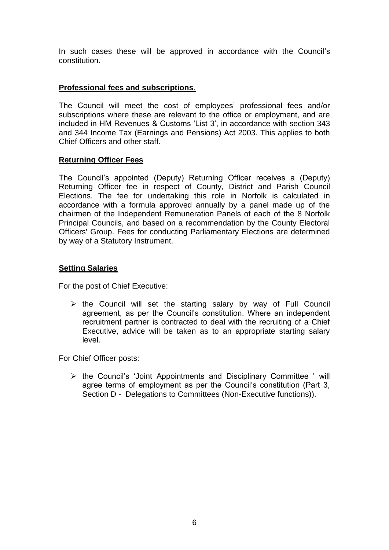In such cases these will be approved in accordance with the Council's constitution.

## **Professional fees and subscriptions**.

The Council will meet the cost of employees' professional fees and/or subscriptions where these are relevant to the office or employment, and are included in HM Revenues & Customs 'List 3', in accordance with section 343 and 344 Income Tax (Earnings and Pensions) Act 2003. This applies to both Chief Officers and other staff.

## **Returning Officer Fees**

The Council's appointed (Deputy) Returning Officer receives a (Deputy) Returning Officer fee in respect of County, District and Parish Council Elections. The fee for undertaking this role in Norfolk is calculated in accordance with a formula approved annually by a panel made up of the chairmen of the Independent Remuneration Panels of each of the 8 Norfolk Principal Councils, and based on a recommendation by the County Electoral Officers' Group. Fees for conducting Parliamentary Elections are determined by way of a Statutory Instrument.

## **Setting Salaries**

For the post of Chief Executive:

 $\triangleright$  the Council will set the starting salary by way of Full Council agreement, as per the Council's constitution. Where an independent recruitment partner is contracted to deal with the recruiting of a Chief Executive, advice will be taken as to an appropriate starting salary level.

For Chief Officer posts:

 $\triangleright$  the Council's 'Joint Appointments and Disciplinary Committee ' will agree terms of employment as per the Council's constitution (Part 3, Section D - Delegations to Committees (Non-Executive functions)).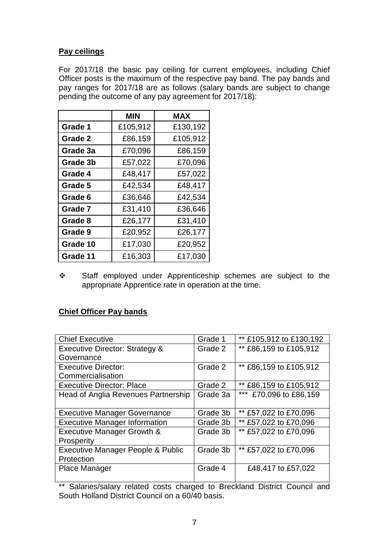## **Pay ceilings**

For 2017/18 the basic pay ceiling for current employees, including Chief Officer posts is the maximum of the respective pay band. The pay bands and pay ranges for 2017/18 are as follows (salary bands are subject to change pending the outcome of any pay agreement for 2017/18):

|          | MIN      | <b>MAX</b> |
|----------|----------|------------|
| Grade 1  | £105,912 | £130,192   |
| Grade 2  | £86,159  | £105,912   |
| Grade 3a | £70,096  | £86,159    |
| Grade 3b | £57,022  | £70,096    |
| Grade 4  | £48,417  | £57,022    |
| Grade 5  | £42,534  | £48,417    |
| Grade 6  | £36,646  | £42,534    |
| Grade 7  | £31,410  | £36,646    |
| Grade 8  | £26,177  | £31,410    |
| Grade 9  | £20,952  | £26,177    |
| Grade 10 | £17,030  | £20,952    |
| Grade 11 | £16,303  | £17,030    |

Staff employed under Apprenticeship schemes are subject to the appropriate Apprentice rate in operation at the time.

## **Chief Officer Pay bands**

| <b>Chief Executive</b>                | Grade 1  | ** £105,912 to £130,192 |
|---------------------------------------|----------|-------------------------|
| Executive Director: Strategy &        | Grade 2  | ** £86,159 to £105,912  |
| Governance                            |          |                         |
| <b>Executive Director:</b>            | Grade 2  | ** £86,159 to £105,912  |
| Commercialisation                     |          |                         |
| <b>Executive Director: Place</b>      | Grade 2  | ** £86,159 to £105,912  |
| Head of Anglia Revenues Partnership   | Grade 3a | *** £70,096 to £86,159  |
|                                       |          |                         |
| <b>Executive Manager Governance</b>   | Grade 3b | ** £57,022 to £70,096   |
| <b>Executive Manager Information</b>  | Grade 3b | ** £57,022 to £70,096   |
| <b>Executive Manager Growth &amp;</b> | Grade 3b | ** £57,022 to £70,096   |
| Prosperity                            |          |                         |
| Executive Manager People & Public     | Grade 3b | ** £57,022 to £70,096   |
| Protection                            |          |                         |
| Place Manager                         | Grade 4  | £48,417 to £57,022      |
|                                       |          |                         |

\*\* Salaries/salary related costs charged to Breckland District Council and South Holland District Council on a 60/40 basis.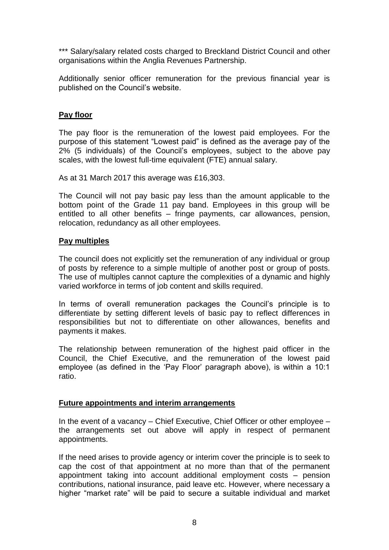\*\*\* Salary/salary related costs charged to Breckland District Council and other organisations within the Anglia Revenues Partnership.

Additionally senior officer remuneration for the previous financial year is published on the Council's website.

## **Pay floor**

The pay floor is the remuneration of the lowest paid employees. For the purpose of this statement "Lowest paid" is defined as the average pay of the 2% (5 individuals) of the Council's employees, subject to the above pay scales, with the lowest full-time equivalent (FTE) annual salary.

As at 31 March 2017 this average was £16,303.

The Council will not pay basic pay less than the amount applicable to the bottom point of the Grade 11 pay band. Employees in this group will be entitled to all other benefits – fringe payments, car allowances, pension, relocation, redundancy as all other employees.

## **Pay multiples**

The council does not explicitly set the remuneration of any individual or group of posts by reference to a simple multiple of another post or group of posts. The use of multiples cannot capture the complexities of a dynamic and highly varied workforce in terms of job content and skills required.

In terms of overall remuneration packages the Council's principle is to differentiate by setting different levels of basic pay to reflect differences in responsibilities but not to differentiate on other allowances, benefits and payments it makes.

The relationship between remuneration of the highest paid officer in the Council, the Chief Executive, and the remuneration of the lowest paid employee (as defined in the 'Pay Floor' paragraph above), is within a 10:1 ratio.

## **Future appointments and interim arrangements**

In the event of a vacancy – Chief Executive, Chief Officer or other employee – the arrangements set out above will apply in respect of permanent appointments.

If the need arises to provide agency or interim cover the principle is to seek to cap the cost of that appointment at no more than that of the permanent appointment taking into account additional employment costs – pension contributions, national insurance, paid leave etc. However, where necessary a higher "market rate" will be paid to secure a suitable individual and market